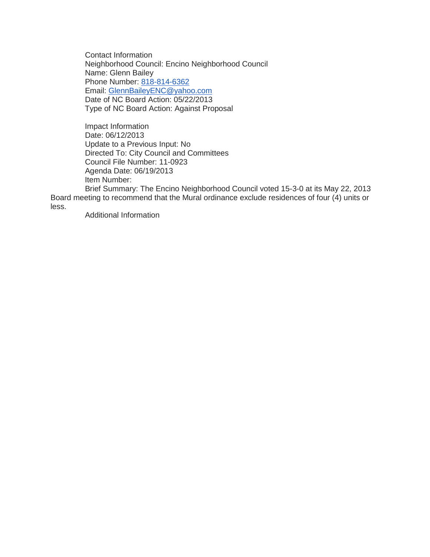Contact Information Neighborhood Council: Encino Neighborhood Council Name: Glenn Bailey Phone Number: [818-814-6362](tel:818-814-6362) Email: [GlennBaileyENC@yahoo.com](mailto:GlennBaileyENC@yahoo.com) Date of NC Board Action: 05/22/2013 Type of NC Board Action: Against Proposal

Impact Information Date: 06/12/2013 Update to a Previous Input: No Directed To: City Council and Committees Council File Number: 11-0923 Agenda Date: 06/19/2013 Item Number:

Brief Summary: The Encino Neighborhood Council voted 15-3-0 at its May 22, 2013 Board meeting to recommend that the Mural ordinance exclude residences of four (4) units or less.

Additional Information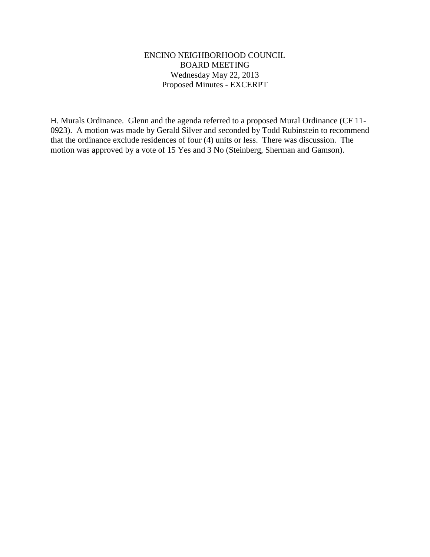### ENCINO NEIGHBORHOOD COUNCIL BOARD MEETING Wednesday May 22, 2013 Proposed Minutes - EXCERPT

H. Murals Ordinance. Glenn and the agenda referred to a proposed Mural Ordinance (CF 11- 0923). A motion was made by Gerald Silver and seconded by Todd Rubinstein to recommend that the ordinance exclude residences of four (4) units or less. There was discussion. The motion was approved by a vote of 15 Yes and 3 No (Steinberg, Sherman and Gamson).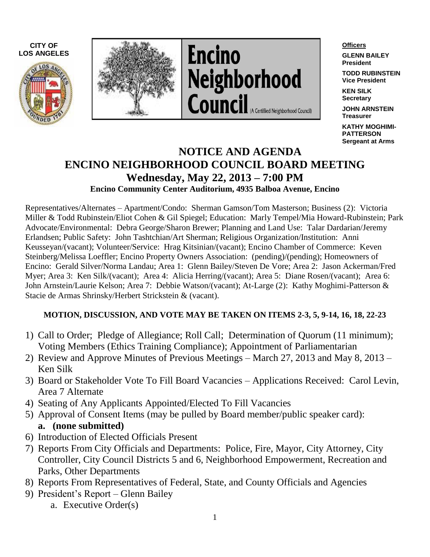





#### **Officers**

**GLENN BAILEY President**

**TODD RUBINSTEIN Vice President**

**KEN SILK Secretary**

**JOHN ARNSTEIN Treasurer**

**KATHY MOGHIMI-PATTERSON Sergeant at Arms**

## **NOTICE AND AGENDA ENCINO NEIGHBORHOOD COUNCIL BOARD MEETING Wednesday, May 22, 2013 – 7:00 PM Encino Community Center Auditorium, 4935 Balboa Avenue, Encino**

Representatives/Alternates – Apartment/Condo: Sherman Gamson/Tom Masterson; Business (2): Victoria Miller & Todd Rubinstein/Eliot Cohen & Gil Spiegel; Education: Marly Tempel/Mia Howard-Rubinstein; Park Advocate/Environmental: Debra George/Sharon Brewer; Planning and Land Use: Talar Dardarian/Jeremy Erlandsen; Public Safety: John Tashtchian/Art Sherman; Religious Organization/Institution: Anni Keusseyan/(vacant); Volunteer/Service: Hrag Kitsinian/(vacant); Encino Chamber of Commerce: Keven Steinberg/Melissa Loeffler; Encino Property Owners Association: (pending)/(pending); Homeowners of Encino: Gerald Silver/Norma Landau; Area 1: Glenn Bailey/Steven De Vore; Area 2: Jason Ackerman/Fred Myer; Area 3: Ken Silk/(vacant); Area 4: Alicia Herring/(vacant); Area 5: Diane Rosen/(vacant); Area 6: John Arnstein/Laurie Kelson; Area 7: Debbie Watson/(vacant); At-Large (2): Kathy Moghimi-Patterson & Stacie de Armas Shrinsky/Herbert Strickstein & (vacant).

### **MOTION, DISCUSSION, AND VOTE MAY BE TAKEN ON ITEMS 2-3, 5, 9-14, 16, 18, 22-23**

- 1) Call to Order; Pledge of Allegiance; Roll Call; Determination of Quorum (11 minimum); Voting Members (Ethics Training Compliance); Appointment of Parliamentarian
- 2) Review and Approve Minutes of Previous Meetings March 27, 2013 and May 8, 2013 Ken Silk
- 3) Board or Stakeholder Vote To Fill Board Vacancies Applications Received: Carol Levin, Area 7 Alternate
- 4) Seating of Any Applicants Appointed/Elected To Fill Vacancies
- 5) Approval of Consent Items (may be pulled by Board member/public speaker card): **a. (none submitted)**
- 6) Introduction of Elected Officials Present
- 7) Reports From City Officials and Departments: Police, Fire, Mayor, City Attorney, City Controller, City Council Districts 5 and 6, Neighborhood Empowerment, Recreation and Parks, Other Departments
- 8) Reports From Representatives of Federal, State, and County Officials and Agencies
- 9) President's Report Glenn Bailey
	- a. Executive Order(s)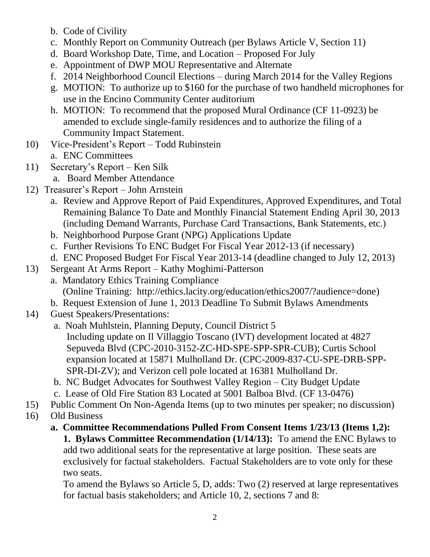- b. Code of Civility
- c. Monthly Report on Community Outreach (per Bylaws Article V, Section 11)
- d. Board Workshop Date, Time, and Location Proposed For July
- e. Appointment of DWP MOU Representative and Alternate
- f. 2014 Neighborhood Council Elections during March 2014 for the Valley Regions
- g. MOTION: To authorize up to \$160 for the purchase of two handheld microphones for use in the Encino Community Center auditorium
- h. MOTION: To recommend that the proposed Mural Ordinance (CF 11-0923) be amended to exclude single-family residences and to authorize the filing of a Community Impact Statement.
- 10) Vice-President's Report Todd Rubinstein
	- a. ENC Committees
- 11) Secretary's Report Ken Silk
	- a. Board Member Attendance
- 12) Treasurer's Report John Arnstein
	- a. Review and Approve Report of Paid Expenditures, Approved Expenditures, and Total Remaining Balance To Date and Monthly Financial Statement Ending April 30, 2013 (including Demand Warrants, Purchase Card Transactions, Bank Statements, etc.)
	- b. Neighborhood Purpose Grant (NPG) Applications Update
	- c. Further Revisions To ENC Budget For Fiscal Year 2012-13 (if necessary)
	- d. ENC Proposed Budget For Fiscal Year 2013-14 (deadline changed to July 12, 2013)
- 13) Sergeant At Arms Report Kathy Moghimi-Patterson
	- a. Mandatory Ethics Training Compliance (Online Training: http://ethics.lacity.org/education/ethics2007/?audience=done)
	- b. Request Extension of June 1, 2013 Deadline To Submit Bylaws Amendments
- 14) Guest Speakers/Presentations:
	- a. Noah Muhlstein, Planning Deputy, Council District 5 Including update on Il Villaggio Toscano (IVT) development located at 4827 Sepuveda Blvd (CPC-2010-3152-ZC-HD-SPE-SPP-SPR-CUB); Curtis School expansion located at 15871 Mulholland Dr. (CPC-2009-837-CU-SPE-DRB-SPP-SPR-DI-ZV); and Verizon cell pole located at 16381 Mulholland Dr.
	- b. NC Budget Advocates for Southwest Valley Region City Budget Update
	- c. Lease of Old Fire Station 83 Located at 5001 Balboa Blvd. (CF 13-0476)
- 15) Public Comment On Non-Agenda Items (up to two minutes per speaker; no discussion)
- 16) Old Business
	- **a. Committee Recommendations Pulled From Consent Items 1/23/13 (Items 1,2): 1. Bylaws Committee Recommendation (1/14/13):** To amend the ENC Bylaws to add two additional seats for the representative at large position. These seats are exclusively for factual stakeholders. Factual Stakeholders are to vote only for these two seats.

To amend the Bylaws so Article 5, D, adds: Two (2) reserved at large representatives for factual basis stakeholders; and Article 10, 2, sections 7 and 8: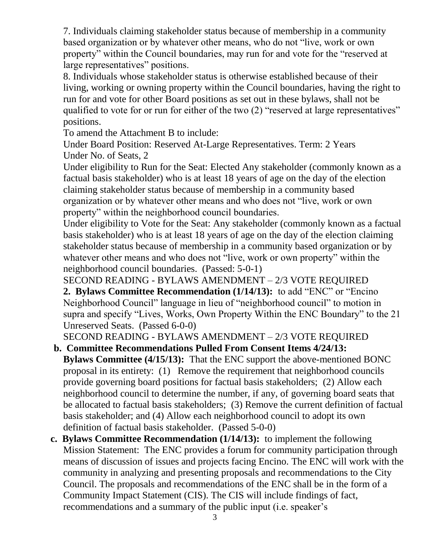7. Individuals claiming stakeholder status because of membership in a community based organization or by whatever other means, who do not "live, work or own property" within the Council boundaries, may run for and vote for the "reserved at large representatives" positions.

8. Individuals whose stakeholder status is otherwise established because of their living, working or owning property within the Council boundaries, having the right to run for and vote for other Board positions as set out in these bylaws, shall not be qualified to vote for or run for either of the two (2) "reserved at large representatives" positions.

To amend the Attachment B to include:

Under Board Position: Reserved At-Large Representatives. Term: 2 Years Under No. of Seats, 2

Under eligibility to Run for the Seat: Elected Any stakeholder (commonly known as a factual basis stakeholder) who is at least 18 years of age on the day of the election claiming stakeholder status because of membership in a community based organization or by whatever other means and who does not "live, work or own property" within the neighborhood council boundaries.

Under eligibility to Vote for the Seat: Any stakeholder (commonly known as a factual basis stakeholder) who is at least 18 years of age on the day of the election claiming stakeholder status because of membership in a community based organization or by whatever other means and who does not "live, work or own property" within the neighborhood council boundaries. (Passed: 5-0-1)

SECOND READING - BYLAWS AMENDMENT – 2/3 VOTE REQUIRED

**2. Bylaws Committee Recommendation (1/14/13):** to add "ENC" or "Encino Neighborhood Council" language in lieu of "neighborhood council" to motion in supra and specify "Lives, Works, Own Property Within the ENC Boundary" to the 21 Unreserved Seats. (Passed 6-0-0)

SECOND READING - BYLAWS AMENDMENT – 2/3 VOTE REQUIRED

# **b. Committee Recommendations Pulled From Consent Items 4/24/13:**

**Bylaws Committee (4/15/13):** That the ENC support the above-mentioned BONC proposal in its entirety: (1) Remove the requirement that neighborhood councils provide governing board positions for factual basis stakeholders; (2) Allow each neighborhood council to determine the number, if any, of governing board seats that be allocated to factual basis stakeholders; (3) Remove the current definition of factual basis stakeholder; and (4) Allow each neighborhood council to adopt its own definition of factual basis stakeholder. (Passed 5-0-0)

**c. Bylaws Committee Recommendation (1/14/13):** to implement the following Mission Statement: The ENC provides a forum for community participation through means of discussion of issues and projects facing Encino. The ENC will work with the community in analyzing and presenting proposals and recommendations to the City Council. The proposals and recommendations of the ENC shall be in the form of a Community Impact Statement (CIS). The CIS will include findings of fact, recommendations and a summary of the public input (i.e. speaker's